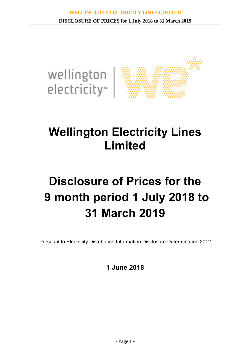

## **Wellington Electricity Lines Limited**

# **Disclosure of Prices for the 9 month period 1 July 2018 to 31 March 2019**

Pursuant to Electricity Distribution Information Disclosure Determination 2012

**1 June 2018**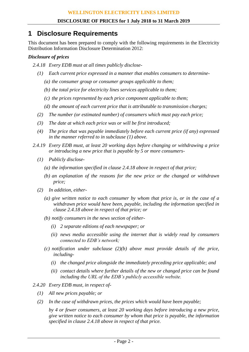## **1 Disclosure Requirements**

This document has been prepared to comply with the following requirements in the Electricity Distribution Information Disclosure Determination 2012:

### *Disclosure of prices*

- *2.4.18 Every EDB must at all times publicly disclose-*
	- *(1) Each current price expressed in a manner that enables consumers to determine-*
		- *(a) the consumer group or consumer groups applicable to them;*
		- *(b) the total price for electricity lines services applicable to them;*
		- *(c) the prices represented by each price component applicable to them;*
		- *(d) the amount of each current price that is attributable to transmission charges;*
	- *(2) The number (or estimated number) of consumers which must pay each price;*
	- *(3) The date at which each price was or will be first introduced;*
	- *(4) The price that was payable immediately before each current price (if any) expressed in the manner referred to in subclause (1) above.*
- *2.4.19 Every EDB must, at least 20 working days before changing or withdrawing a price or introducing a new price that is payable by 5 or more consumers-*
	- *(1) Publicly disclose-*
		- *(a) the information specified in clause 2.4.18 above in respect of that price;*
		- *(b) an explanation of the reasons for the new price or the changed or withdrawn price;*
	- *(2) In addition, either-*
		- *(a) give written notice to each consumer by whom that price is, or in the case of a withdrawn price would have been, payable, including the information specified in clause 2.4.18 above in respect of that price; or*
		- *(b) notify consumers in the news section of either-*
			- *(i) 2 separate editions of each newspaper; or*
			- *(ii) news media accessible using the internet that is widely read by consumers connected to EDB's network;*
		- *(c) notification under subclause (2)(b) above must provide details of the price, including-*
			- *(i) the changed price alongside the immediately preceding price applicable; and*
			- *(ii) contact details where further details of the new or changed price can be found including the URL of the EDB's publicly accessible website.*
- *2.4.20 Every EDB must, in respect of-*
	- *(1) All new prices payable; or*
	- *(2) In the case of withdrawn prices, the prices which would have been payable;*

*by 4 or fewer consumers, at least 20 working days before introducing a new price, give written notice to each consumer by whom that price is payable, the information specified in clause 2.4.18 above in respect of that price.*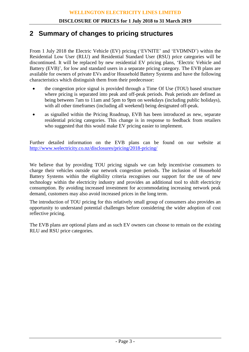## **2 Summary of changes to pricing structures**

From 1 July 2018 the Electric Vehicle (EV) pricing ('EVNITE' and 'EVDMND') within the Residential Low User (RLU) and Residential Standard User (RSU) price categories will be discontinued. It will be replaced by new residential EV pricing plans, 'Electric Vehicle and Battery (EVB)', for low and standard users in a separate pricing category. The EVB plans are available for owners of private EVs and/or Household Battery Systems and have the following characteristics which distinguish them from their predecessor:

- the congestion price signal is provided through a Time Of Use (TOU) based structure where pricing is separated into peak and off-peak periods. Peak periods are defined as being between 7am to 11am and 5pm to 9pm on weekdays (including public holidays), with all other timeframes (including all weekend) being designated off-peak.
- as signalled within the Pricing Roadmap, EVB has been introduced as new, separate residential pricing categories. This change is in response to feedback from retailers who suggested that this would make EV pricing easier to implement.

Further detailed information on the EVB plans can be found on our website at <http://www.welectricity.co.nz/disclosures/pricing/2018-pricing/>

We believe that by providing TOU pricing signals we can help incentivise consumers to charge their vehicles outside our network congestion periods. The inclusion of Household Battery Systems within the eligibility criteria recognises our support for the use of new technology within the electricity industry and provides an additional tool to shift electricity consumption. By avoiding increased investment for accommodating increasing network peak demand, customers may also avoid increased prices in the long term.

The introduction of TOU pricing for this relatively small group of consumers also provides an opportunity to understand potential challenges before considering the wider adoption of cost reflective pricing.

The EVB plans are optional plans and as such EV owners can choose to remain on the existing RLU and RSU price categories.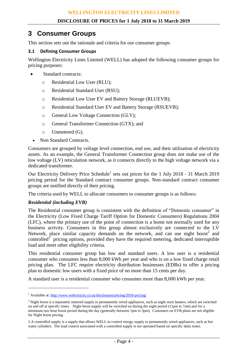## **3 Consumer Groups**

This section sets out the rationale and criteria for our consumer groups.

#### **3.1 Defining Consumer Groups**

Wellington Electricity Lines Limited (WELL) has adopted the following consumer groups for pricing purposes:

- Standard contracts:
	- o Residential Low User (RLU);
	- o Residential Standard User (RSU);
	- o Residential Low User EV and Battery Storage (RLUEVB);
	- o Residential Standard User EV and Battery Storage (RSUEVB);
	- o General Low Voltage Connection (GLV);
	- o General Transformer Connection (GTX); and
	- o Unmetered (G).
	- Non Standard Contracts.

Consumers are grouped by voltage level connection, end use, and their utilisation of electricity assets. As an example, the General Transformer Connection group does not make use of the low voltage (LV) reticulation network, as it connects directly to the high voltage network via a dedicated transformer.

Our Electricity Delivery Price Schedule<sup>1</sup> sets out prices for the 1 July 2018 - 31 March 2019 pricing period for the Standard contract consumer groups. Non-standard contract consumer groups are notified directly of their pricing.

The criteria used by WELL to allocate consumers to consumer groups is as follows:

#### *Residential (including EVB)*

 $\overline{a}$ 

The Residential consumer group is consistent with the definition of "Domestic consumer" in the Electricity (Low Fixed Charge Tariff Option for Domestic Consumers) Regulations 2004 (LFC), where the primary use of the point of connection is a home not normally used for any business activity. Consumers in this group almost exclusively are connected to the LV Network, place similar capacity demands on the network, and can use night boost<sup>2</sup> and controlled<sup>3</sup> pricing options, provided they have the required metering, dedicated interruptible load and meet other eligibility criteria.

This residential consumer group has low and standard users. A low user is a residential consumer who consumes less than 8,000 kWh per year and who is on a low fixed charge retail pricing plan. The LFC require electricity distribution businesses (EDBs) to offer a pricing plan to domestic low users with a fixed price of no more than 15 cents per day.

A standard user is a residential consumer who consumes more than 8,000 kWh per year.

<sup>&</sup>lt;sup>1</sup> Available at:<http://www.welectricity.co.nz/disclosures/pricing/2018-pricing/>

 $2$  Night boost is a separately metered supply to permanently wired appliances, such as night store heaters, which are switched on and off at specific times. Night boost supply will be switched on during the night period (11pm to 7am) and for a minimum two hour boost period during the day (generally between 1pm to 3pm). Customers on EVB plans are not eligible for Night boost pricing.

<sup>3</sup> A controlled supply is a supply that allows WELL to control energy supply to permanently wired appliances, such as hot water cylinders. The load control associated with a controlled supply is not operated based on specific daily times.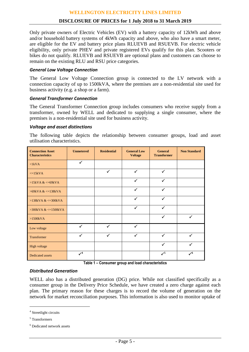#### **DISCLOSURE OF PRICES for 1 July 2018 to 31 March 2019**

Only private owners of Electric Vehicles (EV) with a battery capacity of 12kWh and above and/or household battery systems of 4kWh capacity and above, who also have a smart meter, are eligible for the EV and battery price plans RLUEVB and RSUEVB. For electric vehicle eligibility, only private PHEV and private registered EVs qualify for this plan. Scooters or bikes do not qualify. RLUEVB and RSUEVB are optional plans and customers can choose to remain on the existing RLU and RSU price categories.

#### *General Low Voltage Connection*

The General Low Voltage Connection group is connected to the LV network with a connection capacity of up to 1500kVA, where the premises are a non-residential site used for business activity (e.g. a shop or a farm).

#### *General Transformer Connection*

The General Transformer Connection group includes consumers who receive supply from a transformer, owned by WELL and dedicated to supplying a single consumer, where the premises is a non-residential site used for business activity.

#### *Voltage and asset distinctions*

The following table depicts the relationship between consumer groups, load and asset utilisation characteristics.

| <b>Connection Asset</b><br><b>Characteristics</b> | <b>Unmetered</b> | <b>Residential</b> | <b>General Low</b><br><b>Voltage</b> | <b>General</b><br><b>Transformer</b> | <b>Non Standard</b> |
|---------------------------------------------------|------------------|--------------------|--------------------------------------|--------------------------------------|---------------------|
| $\langle$ 1kVA                                    | $\checkmark$     |                    |                                      |                                      |                     |
| $\leq$ =15kVA                                     |                  | $\checkmark$       | $\checkmark$                         | $\checkmark$                         |                     |
| $>15kVA <=69kVA$                                  |                  |                    | $\checkmark$                         | $\checkmark$                         |                     |
| $>69$ kVA & $\lt$ =138kVA                         |                  |                    | $\checkmark$                         | $\checkmark$                         |                     |
| $>138kVA <=300kVA$                                |                  |                    | $\checkmark$                         | ✓                                    |                     |
| $>300$ kVA & $\leq 1500$ kVA                      |                  |                    | $\checkmark$                         | $\checkmark$                         |                     |
| $>1500kVA$                                        |                  |                    |                                      | $\checkmark$                         | ✓                   |
| Low voltage                                       | $\checkmark$     | $\checkmark$       | $\checkmark$                         |                                      |                     |
| Transformer                                       | $\checkmark$     | ✓                  | $\checkmark$                         | $\checkmark$                         | ✓                   |
| High voltage                                      |                  |                    |                                      | $\checkmark$                         |                     |
| <b>Dedicated assets</b>                           | $\mathcal{V}^4$  |                    |                                      | $\checkmark$                         | $\mathcal{V}^6$     |

**Table 1 – Consumer group and load characteristics**

#### *Distributed Generation*

WELL also has a distributed generation (DG) price. While not classified specifically as a consumer group in the Delivery Price Schedule, we have created a zero charge against each plan. The primary reason for these charges is to record the volume of generation on the network for market reconciliation purposes. This information is also used to monitor uptake of

 $\overline{a}$ 

<sup>4</sup> Streetlight circuits

<sup>5</sup> Transformers

<sup>6</sup> Dedicated network assets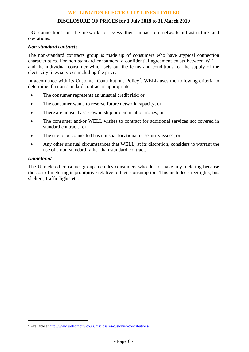DG connections on the network to assess their impact on network infrastructure and operations.

#### *Non-standard contracts*

The non-standard contracts group is made up of consumers who have atypical connection characteristics. For non-standard consumers, a confidential agreement exists between WELL and the individual consumer which sets out the terms and conditions for the supply of the electricity lines services including the price.

In accordance with its Customer Contributions Policy<sup>7</sup>, WELL uses the following criteria to determine if a non-standard contract is appropriate:

- The consumer represents an unusual credit risk; or
- The consumer wants to reserve future network capacity; or
- There are unusual asset ownership or demarcation issues; or
- The consumer and/or WELL wishes to contract for additional services not covered in standard contracts; or
- The site to be connected has unusual locational or security issues; or
- Any other unusual circumstances that WELL, at its discretion, considers to warrant the use of a non-standard rather than standard contract.

#### *Unmetered*

 $\overline{a}$ 

The Unmetered consumer group includes consumers who do not have any metering because the cost of metering is prohibitive relative to their consumption. This includes streetlights, bus shelters, traffic lights etc.

<sup>&</sup>lt;sup>7</sup> Available a[t http://www.welectricity.co.nz/disclosures/customer-contributions/](http://www.welectricity.co.nz/disclosures/customer-contributions/)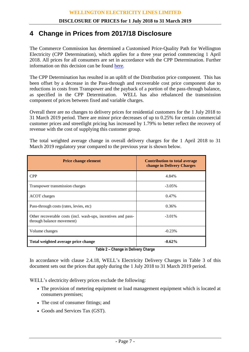## **4 Change in Prices from 2017/18 Disclosure**

The Commerce Commission has determined a Customised Price-Quality Path for Wellington Electricity (CPP Determination), which applies for a three year period commencing 1 April 2018. All prices for all consumers are set in accordance with the CPP Determination. Further information on this decision can be found [here.](http://www.comcom.govt.nz/regulated-industries/electricity/cpp/cpp-proposals-and-decisions/wellington-electricitys-2018-2021-cpp/)

The CPP Determination has resulted in an uplift of the Distribution price component. This has been offset by a decrease in the Pass-through and recoverable cost price component due to reductions in costs from Transpower and the payback of a portion of the pass-through balance, as specified in the CPP Determination. WELL has also rebalanced the transmission component of prices between fixed and variable charges.

Overall there are no changes to delivery prices for residential customers for the 1 July 2018 to 31 March 2019 period. There are minor price decreases of up to 0.25% for certain commercial customer prices and streetlight pricing has increased by 1.79% to better reflect the recovery of revenue with the cost of supplying this customer group.

| <b>Price change element</b>                                                                | <b>Contribution to total average</b><br>change in Delivery Charges |  |  |
|--------------------------------------------------------------------------------------------|--------------------------------------------------------------------|--|--|
| <b>CPP</b>                                                                                 | 4.84%                                                              |  |  |
| Transpower transmission charges                                                            | $-3.05\%$                                                          |  |  |
| ACOT charges                                                                               | 0.47%                                                              |  |  |
| Pass-through costs (rates, levies, etc)                                                    | 0.36%                                                              |  |  |
| Other recoverable costs (incl. wash-ups, incentives and pass-<br>through balance movement) | $-3.01\%$                                                          |  |  |
| Volume changes                                                                             | $-0.23%$                                                           |  |  |
| Total weighted average price change                                                        | $-0.62%$                                                           |  |  |

The total weighted average change in overall delivery charges for the 1 April 2018 to 31 March 2019 regulatory year compared to the previous year is shown below.

**Table 2 – Change in Delivery Charge**

In accordance with clause 2.4.18, WELL's Electricity Delivery Charges in Table 3 of this document sets out the prices that apply during the 1 July 2018 to 31 March 2019 period.

WELL's electricity delivery prices exclude the following:

- The provision of metering equipment or load management equipment which is located at consumers premises;
- The cost of consumer fittings; and
- Goods and Services Tax (GST).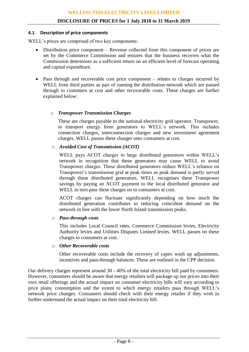#### **4.1 Description of price components**

WELL's prices are comprised of two key components:

- Distribution price component Revenue collected from this component of prices are set by the Commerce Commission and ensures that the business recovers what the Commission determines as a sufficient return on an efficient level of forecast operating and capital expenditure.
- Pass through and recoverable cost price component relates to charges incurred by WELL from third parties as part of running the distribution network which are passed through to customers at cost and other recoverable costs. These charges are further explained below:

#### o *Transpower Transmission Charges*

These are charges payable to the national electricity grid operator, Transpower, to transport energy from generators to WELL's network. This includes connection charges, interconnection charges and new investment agreement charges. WELL passes these charges onto consumers at cost.

#### o *Avoided Cost of Transmission (ACOT)*

WELL pays ACOT charges to large distributed generators within WELL's network in recognition that these generators may cause WELL to avoid Transpower charges. These distributed generators reduce WELL's reliance on Transpower's transmission grid at peak times as peak demand is partly served through these distributed generators. WELL recognises these Transpower savings by paying an ACOT payment to the local distributed generator and WELL in turn pass these charges on to consumers at cost.

ACOT charges can fluctuate significantly depending on how much the distributed generation contributes to reducing coincident demand on the network in line with the lower North Island transmission peaks.

#### o *Pass-through costs*

This includes Local Council rates, Commerce Commission levies, Electricity Authority levies and Utilities Disputes Limited levies. WELL passes on these charges to consumers at cost.

#### o *Other Recoverable costs*

Other recoverable costs include the recovery of capex wash up adjustments, incentives and pass-through balances. These are outlined in the CPP decision.

Our delivery charges represent around 30 - 40% of the total electricity bill paid by consumers. However, consumers should be aware that energy retailers will package up our prices into their own retail offerings and the actual impact on consumer electricity bills will vary according to price plans, consumption and the extent to which energy retailers pass through WELL's network price changes. Consumers should check with their energy retailer if they wish to further understand the actual impact on their total electricity bill.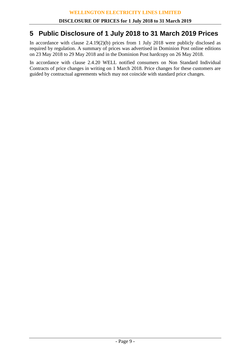## **5 Public Disclosure of 1 July 2018 to 31 March 2019 Prices**

In accordance with clause 2.4.19(2)(b) prices from 1 July 2018 were publicly disclosed as required by regulation. A summary of prices was advertised in Dominion Post online editions on 23 May 2018 to 29 May 2018 and in the Dominion Post hardcopy on 26 May 2018.

In accordance with clause 2.4.20 WELL notified consumers on Non Standard Individual Contracts of price changes in writing on 1 March 2018. Price changes for these customers are guided by contractual agreements which may not coincide with standard price changes.